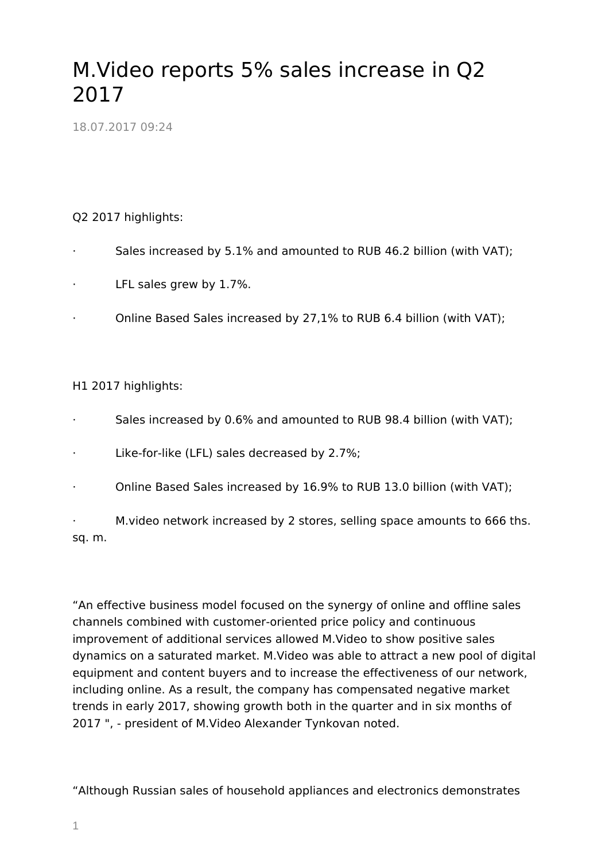## M.Video reports 5% sales increase in Q2 2017

18.07.2017 09:24

## Q2 2017 highlights:

- · Sales increased by 5.1% and amounted to RUB 46.2 billion (with VAT);
- LFL sales grew by 1.7%.
- · Online Based Sales increased by 27,1% to RUB 6.4 billion (with VAT);

## H1 2017 highlights:

- Sales increased by 0.6% and amounted to RUB 98.4 billion (with VAT);
- Like-for-like (LFL) sales decreased by 2.7%;
- · Online Based Sales increased by 16.9% to RUB 13.0 billion (with VAT);

M. video network increased by 2 stores, selling space amounts to 666 ths. sq. m.

"An effective business model focused on the synergy of online and offline sales channels combined with customer-oriented price policy and continuous improvement of additional services allowed M.Video to show positive sales dynamics on a saturated market. M.Video was able to attract a new pool of digital equipment and content buyers and to increase the effectiveness of our network, including online. As a result, the company has compensated negative market trends in early 2017, showing growth both in the quarter and in six months of 2017 ", - president of M.Video Alexander Tynkovan noted.

"Although Russian sales of household appliances and electronics demonstrates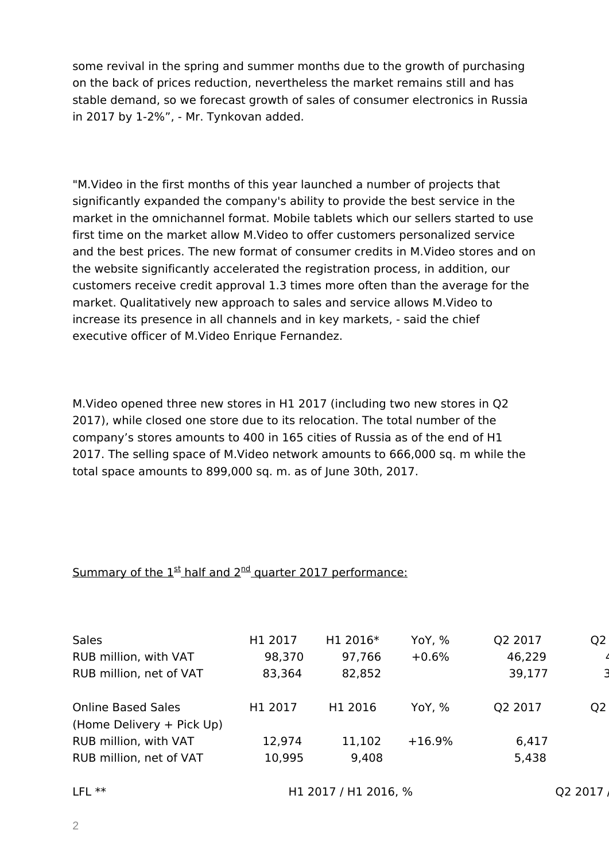some revival in the spring and summer months due to the growth of purchasing on the back of prices reduction, nevertheless the market remains still and has stable demand, so we forecast growth of sales of consumer electronics in Russia in 2017 by 1-2%", - Mr. Tynkovan added.

"M.Video in the first months of this year launched a number of projects that significantly expanded the company's ability to provide the best service in the market in the omnichannel format. Mobile tablets which our sellers started to use first time on the market allow M.Video to offer customers personalized service and the best prices. The new format of consumer credits in M.Video stores and on the website significantly accelerated the registration process, in addition, our customers receive credit approval 1.3 times more often than the average for the market. Qualitatively new approach to sales and service allows M.Video to increase its presence in all channels and in key markets, - said the chief executive officer of M.Video Enrique Fernandez.

M.Video opened three new stores in H1 2017 (including two new stores in Q2 2017), while closed one store due to its relocation. The total number of the company's stores amounts to 400 in 165 cities of Russia as of the end of H1 2017. The selling space of M.Video network amounts to 666,000 sq. m while the total space amounts to 899,000 sq. m. as of June 30th, 2017.

## Summary of the  $1<sup>st</sup>$  half and  $2<sup>nd</sup>$  quarter 2017 performance:

| <b>Sales</b>              | H1 2017 | H1 2016* | YoY, %   | Q2 2017 | Q <sub>2</sub> |
|---------------------------|---------|----------|----------|---------|----------------|
| RUB million, with VAT     | 98,370  | 97,766   | $+0.6%$  | 46,229  |                |
| RUB million, net of VAT   | 83,364  | 82,852   |          | 39,177  |                |
|                           |         |          |          |         |                |
| <b>Online Based Sales</b> | H1 2017 | H1 2016  | YoY, %   | Q2 2017 | Q <sub>2</sub> |
| (Home Delivery + Pick Up) |         |          |          |         |                |
| RUB million, with VAT     | 12,974  | 11,102   | $+16.9%$ | 6,417   |                |
| RUB million, net of VAT   | 10,995  | 9,408    |          | 5,438   |                |
|                           |         |          |          |         |                |
|                           |         |          |          |         |                |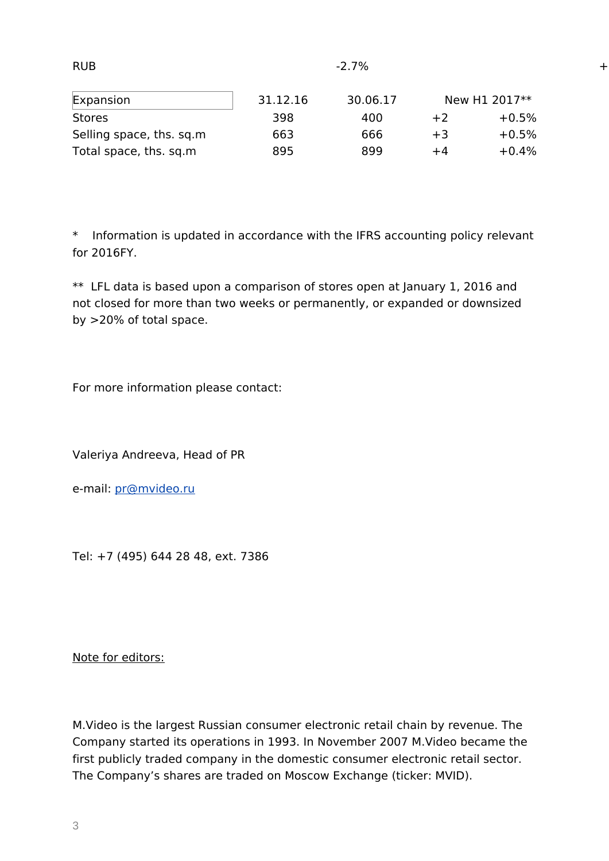| $-2.7\%$ |               |         |  |  |
|----------|---------------|---------|--|--|
| 30.06.17 | New H1 2017** |         |  |  |
| 400      | $+2$          | $+0.5%$ |  |  |
| 666      | $+3$          | $+0.5%$ |  |  |
| 899      | +4            | $+0.4%$ |  |  |
|          |               |         |  |  |

\* Information is updated in accordance with the IFRS accounting policy relevant for 2016FY.

\*\* LFL data is based upon a comparison of stores open at January 1, 2016 and not closed for more than two weeks or permanently, or expanded or downsized by >20% of total space.

For more information please contact:

Valeriya Andreeva, Head of PR

e-mail: [pr@mvideo.ru](mailto:pr@mvideo.ru)

Tel: +7 (495) 644 28 48, ext. 7386

Note for editors:

M.Video is the largest Russian consumer electronic retail chain by revenue. The Company started its operations in 1993. In November 2007 M.Video became the first publicly traded company in the domestic consumer electronic retail sector. The Company's shares are traded on Moscow Exchange (ticker: MVID).